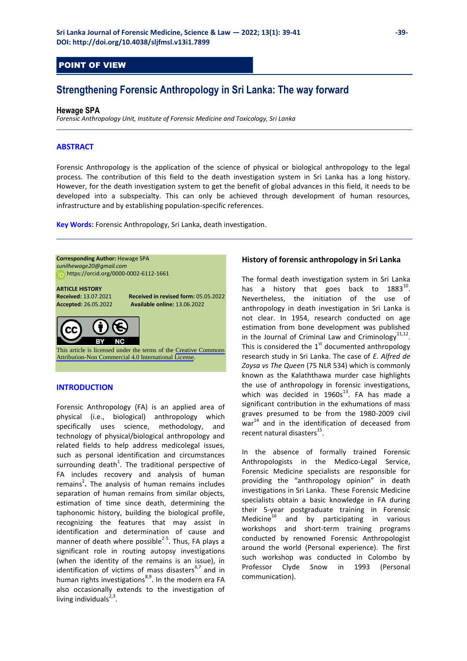### POINT OF VIEW

## **Strengthening Forensic Anthropology in Sri Lanka: The way forward**

#### **Hewage SPA**

*Forensic Anthropology Unit, Institute of Forensic Medicine and Toxicology, Sri Lanka*

#### **ABSTRACT**

Forensic Anthropology is the application of the science of physical or biological anthropology to the legal process. The contribution of this field to the death investigation system in Sri Lanka has a long history. However, for the death investigation system to get the benefit of global advances in this field, it needs to be developed into a subspecialty. This can only be achieved through development of human resources, infrastructure and by establishing population-specific references.

**Key Words:** Forensic Anthropology, Sri Lanka, death investigation.

**Corresponding Author:** Hewage SPA *[sunilhewage20@gmail.com](mailto:sunilhewage20@gmail.com)* https[://orcid.org/0000-0002-6112-1661](https://orcid.org/0000-0002-6112-1661) 

# **ARTICLE HISTORY**

**Received: 13.07.2021 <b>Received in revised form: 05.05.2022**<br>**Accepted: 26.05.2022 Available online: 13.06.2022 Accepted:** 26.05.2022 **Available online:** 13.06.2022

This article is licensed under the terms of the [Creative Commons](https://creativecommons.org/licenses/by-nc/4.0/)  [Attribution-Non Commercial 4.0 International License](https://creativecommons.org/licenses/by-nc/4.0/).

#### **INTRODUCTION**

Forensic Anthropology (FA) is an applied area of physical (i.e., biological) anthropology which specifically uses science, methodology, and technology of physical/biological anthropology and related fields to help address medicolegal issues, such as personal identification and circumstances surrounding death<sup>1</sup>. The traditional perspective of FA includes recovery and analysis of human remains<sup>2</sup>. The analysis of human remains includes separation of human remains from similar objects, estimation of time since death, determining the taphonomic history, building the biological profile, recognizing the features that may assist in identification and determination of cause and manner of death where possible $^{2-5}$ . Thus, FA plays a significant role in routing autopsy investigations (when the identity of the remains is an issue), in identification of victims of mass disasters $6,7$  and in human rights investigations<sup>8,9</sup>. In the modern era FA also occasionally extends to the investigation of living individuals $2,3$ .

#### **History of forensic anthropology in Sri Lanka**

The formal death investigation system in Sri Lanka has a history that goes back to  $1883^{10}$ . Nevertheless, the initiation of the use of anthropology in death investigation in Sri Lanka is not clear. In 1954, research conducted on age estimation from bone development was published in the Journal of Criminal Law and Criminology $11,12$ . This is considered the  $1<sup>st</sup>$  documented anthropology research study in Sri Lanka. The case of *E. Alfred de Zoysa vs The Queen* (75 NLR 534) which is commonly known as the Kalaththawa murder case highlights the use of anthropology in forensic investigations, which was decided in  $1960s^{13}$ . FA has made a significant contribution in the exhumations of mass graves presumed to be from the 1980-2009 civil war<sup>14</sup> and in the identification of deceased from recent natural disasters<sup>15</sup>.

In the absence of formally trained Forensic Anthropologists in the Medico-Legal Service, Forensic Medicine specialists are responsible for providing the "anthropology opinion" in death investigations in Sri Lanka. These Forensic Medicine specialists obtain a basic knowledge in FA during their 5-year postgraduate training in Forensic Medicine $^{16}$  and by participating in various workshops and short-term training programs conducted by renowned Forensic Anthropologist around the world (Personal experience). The first such workshop was conducted in Colombo by Professor Clyde Snow in 1993 (Personal communication).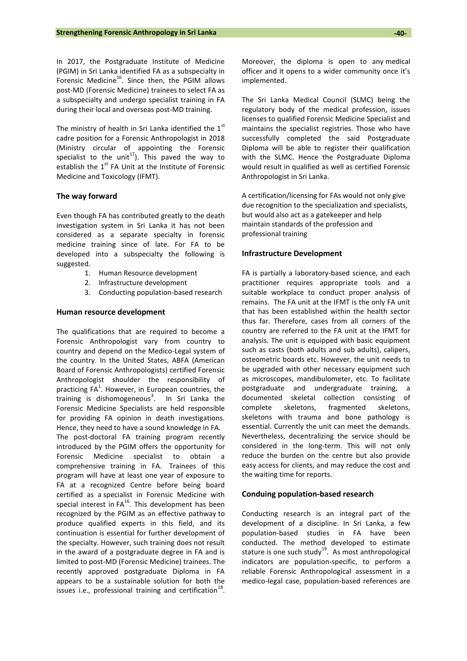In 2017, the Postgraduate Institute of Medicine (PGIM) in Sri Lanka identified FA as a subspecialty in Forensic Medicine<sup>16</sup>. Since then, the PGIM allows post-MD (Forensic Medicine) trainees to select FA as a subspecialty and undergo specialist training in FA during their local and overseas post-MD training.

The ministry of health in Sri Lanka identified the  $1<sup>st</sup>$ cadre position for a Forensic Anthropologist in 2018 (Ministry circular of appointing the Forensic specialist to the unit<sup>17</sup>). This paved the way to establish the  $1<sup>st</sup>$  FA Unit at the Institute of Forensic Medicine and Toxicology (IFMT).

#### **The way forward**

Even though FA has contributed greatly to the death investigation system in Sri Lanka it has not been considered as a separate specialty in forensic medicine training since of late. For FA to be developed into a subspecialty the following is suggested.

- 1. Human Resource development
- 2. Infrastructure development
- 3. Conducting population-based research

#### **Human resource development**

The qualifications that are required to become a Forensic Anthropologist vary from country to country and depend on the Medico-Legal system of the country. In the United States, ABFA (American Board of Forensic Anthropologists) certified Forensic Anthropologist shoulder the responsibility of practicing  $FA<sup>1</sup>$ . However, in European countries, the training is dishomogeneous<sup>3</sup>. In Sri Lanka the Forensic Medicine Specialists are held responsible for providing FA opinion in death investigations. Hence, they need to have a sound knowledge in FA. The post-doctoral FA training program recently introduced by the PGIM offers the opportunity for Forensic Medicine specialist to obtain a comprehensive training in FA. Trainees of this program will have at least one year of exposure to FA at a recognized Centre before being board certified as a specialist in Forensic Medicine with special interest in  $FA^{16}$ . This development has been recognized by the PGIM as an effective pathway to produce qualified experts in this field, and its continuation is essential for further development of the specialty. However, such training does not result in the award of a postgraduate degree in FA and is limited to post-MD (Forensic Medicine) trainees. The recently approved postgraduate Diploma in FA appears to be a sustainable solution for both the issues i.e., professional training and certification $^{18}$ . Moreover, the diploma is open to any medical officer and it opens to a wider community once it's implemented.

The Sri Lanka Medical Council (SLMC) being the regulatory body of the medical profession, issues licenses to qualified Forensic Medicine Specialist and maintains the specialist registries. Those who have successfully completed the said Postgraduate Diploma will be able to register their qualification with the SLMC. Hence the Postgraduate Diploma would result in qualified as well as certified Forensic Anthropologist in Sri Lanka.

A certification/licensing for FAs would not only give due recognition to the specialization and specialists, but would also act as a gatekeeper and help maintain standards of the profession and professional training

#### **Infrastructure Development**

FA is partially a laboratory-based science, and each practitioner requires appropriate tools and a suitable workplace to conduct proper analysis of remains. The FA unit at the IFMT is the only FA unit that has been established within the health sector thus far. Therefore, cases from all corners of the country are referred to the FA unit at the IFMT for analysis. The unit is equipped with basic equipment such as casts (both adults and sub adults), calipers, osteometric boards etc. However, the unit needs to be upgraded with other necessary equipment such as microscopes, mandibulometer, etc. To facilitate postgraduate and undergraduate training, a documented skeletal collection consisting of complete skeletons, fragmented skeletons, skeletons with trauma and bone pathology is essential. Currently the unit can meet the demands. Nevertheless, decentralizing the service should be considered in the long-term. This will not only reduce the burden on the centre but also provide easy access for clients, and may reduce the cost and the waiting time for reports.

#### **Conduing population-based research**

Conducting research is an integral part of the development of a discipline. In Sri Lanka, a few population-based studies in FA have been conducted. The method developed to estimate stature is one such study<sup>19</sup>. As most anthropological indicators are population-specific, to perform a reliable Forensic Anthropological assessment in a medico-legal case, population-based references are